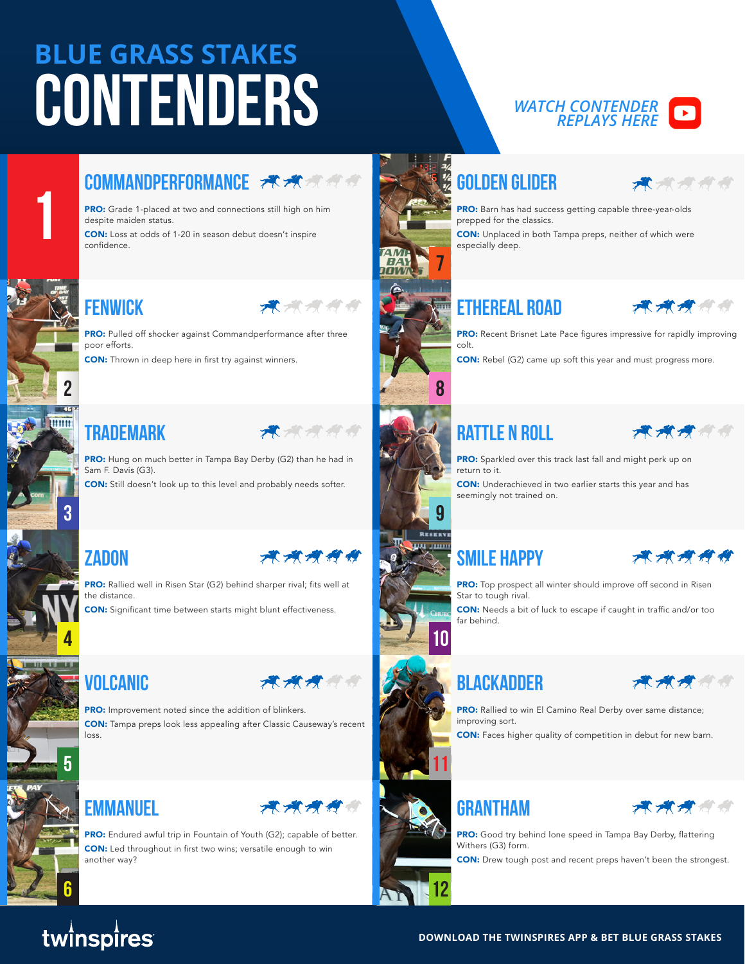# **BLUE GRASS STAKES**  $\overline{CONTENDERS}$

**PRO:** Grade 1-placed at two and connections still high on him

CON: Loss at odds of 1-20 in season debut doesn't inspire

# *REPLAYS HERE*

# **COMMANDPERFORMANCE FOR SOLDEN GUIDER**



PRO: Barn has had success getting capable three-year-olds prepped for the classics.

CON: Unplaced in both Tampa preps, neither of which were especially deep.

## **Fenwick Ethereal Road**



**PRO:** Recent Brisnet Late Pace figures impressive for rapidly improving colt.

CON: Rebel (G2) came up soft this year and must progress more.

### **TRADEMARK RATTLE N ROLL**



**PRO:** Sparkled over this track last fall and might perk up on return to it.

CON: Underachieved in two earlier starts this year and has seemingly not trained on.



**PRO:** Top prospect all winter should improve off second in Risen Star to tough rival.

CON: Needs a bit of luck to escape if caught in traffic and/or too far behind.





PRO: Rallied to win El Camino Real Derby over same distance; improving sort.

CON: Faces higher quality of competition in debut for new barn.



**PRO:** Good try behind lone speed in Tampa Bay Derby, flattering Withers (G3) form.

CON: Drew tough post and recent preps haven't been the strongest.





despite maiden status.

confidence.

poor efforts.

**2**

**E mim** 

**1**

**3**

PRO: Hung on much better in Tampa Bay Derby (G2) than he had in Sam F. Davis (G3).

**PRO:** Pulled off shocker against Commandperformance after three

CON: Thrown in deep here in first try against winners.

CON: Still doesn't look up to this level and probably needs softer.





**4**





PRO: Rallied well in Risen Star (G2) behind sharper rival; fits well at the distance.

CON: Significant time between starts might blunt effectiveness.



PRO: Improvement noted since the addition of blinkers. CON: Tampa preps look less appealing after Classic Causeway's recent loss.

**5 11**

### **EMMANUEL FRANCHISE RESERVATION CONTRACT SERVICE**

**PRO:** Endured awful trip in Fountain of Youth (G2); capable of better. CON: Led throughout in first two wins; versatile enough to win another way?



**6**









**10**

**12**